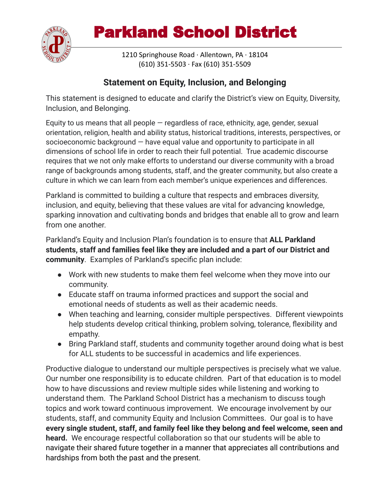

## Parkland School District

1210 Springhouse Road · Allentown, PA · 18104 (610) 351-5503 · Fax (610) 351-5509

## **Statement on Equity, Inclusion, and Belonging**

This statement is designed to educate and clarify the District's view on Equity, Diversity, Inclusion, and Belonging.

Equity to us means that all people  $-$  regardless of race, ethnicity, age, gender, sexual orientation, religion, health and ability status, historical traditions, interests, perspectives, or socioeconomic background — have equal value and opportunity to participate in all dimensions of school life in order to reach their full potential. True academic discourse requires that we not only make efforts to understand our diverse community with a broad range of backgrounds among students, staff, and the greater community, but also create a culture in which we can learn from each member's unique experiences and differences.

Parkland is committed to building a culture that respects and embraces diversity, inclusion, and equity, believing that these values are vital for advancing knowledge, sparking innovation and cultivating bonds and bridges that enable all to grow and learn from one another.

Parkland's Equity and Inclusion Plan's foundation is to ensure that **ALL Parkland students, staff and families feel like they are included and a part of our District and community**. Examples of Parkland's specific plan include:

- Work with new students to make them feel welcome when they move into our community.
- Educate staff on trauma informed practices and support the social and emotional needs of students as well as their academic needs.
- When teaching and learning, consider multiple perspectives. Different viewpoints help students develop critical thinking, problem solving, tolerance, flexibility and empathy.
- Bring Parkland staff, students and community together around doing what is best for ALL students to be successful in academics and life experiences.

Productive dialogue to understand our multiple perspectives is precisely what we value. Our number one responsibility is to educate children. Part of that education is to model how to have discussions and review multiple sides while listening and working to understand them. The Parkland School District has a mechanism to discuss tough topics and work toward continuous improvement. We encourage involvement by our students, staff, and community Equity and Inclusion Committees. Our goal is to have **every single student, staff, and family feel like they belong and feel welcome, seen and heard.** We encourage respectful collaboration so that our students will be able to navigate their shared future together in a manner that appreciates all contributions and hardships from both the past and the present.